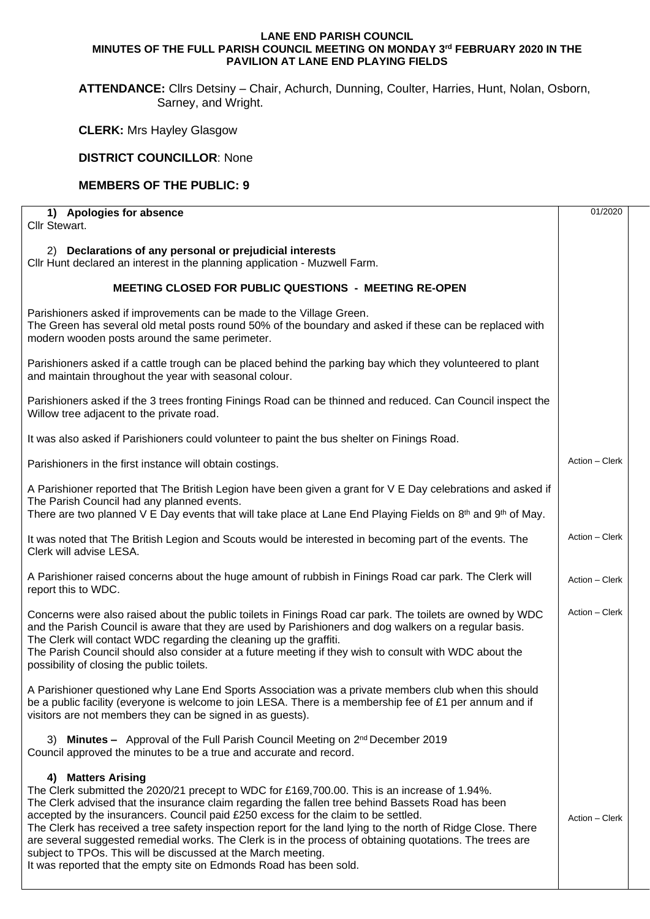## **LANE END PARISH COUNCIL MINUTES OF THE FULL PARISH COUNCIL MEETING ON MONDAY 3 rd FEBRUARY 2020 IN THE PAVILION AT LANE END PLAYING FIELDS**

**ATTENDANCE:** Cllrs Detsiny – Chair, Achurch, Dunning, Coulter, Harries, Hunt, Nolan, Osborn, Sarney, and Wright.

**CLERK:** Mrs Hayley Glasgow

## **DISTRICT COUNCILLOR**: None

## **MEMBERS OF THE PUBLIC: 9**

| 1) Apologies for absence                                                                                                                                                                                                                                                                                                                                                                                                                                                                                                                                                                                                                                                          | 01/2020        |  |
|-----------------------------------------------------------------------------------------------------------------------------------------------------------------------------------------------------------------------------------------------------------------------------------------------------------------------------------------------------------------------------------------------------------------------------------------------------------------------------------------------------------------------------------------------------------------------------------------------------------------------------------------------------------------------------------|----------------|--|
| Cllr Stewart.                                                                                                                                                                                                                                                                                                                                                                                                                                                                                                                                                                                                                                                                     |                |  |
| 2) Declarations of any personal or prejudicial interests<br>Cllr Hunt declared an interest in the planning application - Muzwell Farm.                                                                                                                                                                                                                                                                                                                                                                                                                                                                                                                                            |                |  |
| MEETING CLOSED FOR PUBLIC QUESTIONS - MEETING RE-OPEN                                                                                                                                                                                                                                                                                                                                                                                                                                                                                                                                                                                                                             |                |  |
| Parishioners asked if improvements can be made to the Village Green.<br>The Green has several old metal posts round 50% of the boundary and asked if these can be replaced with<br>modern wooden posts around the same perimeter.                                                                                                                                                                                                                                                                                                                                                                                                                                                 |                |  |
| Parishioners asked if a cattle trough can be placed behind the parking bay which they volunteered to plant<br>and maintain throughout the year with seasonal colour.                                                                                                                                                                                                                                                                                                                                                                                                                                                                                                              |                |  |
| Parishioners asked if the 3 trees fronting Finings Road can be thinned and reduced. Can Council inspect the<br>Willow tree adjacent to the private road.                                                                                                                                                                                                                                                                                                                                                                                                                                                                                                                          |                |  |
| It was also asked if Parishioners could volunteer to paint the bus shelter on Finings Road.                                                                                                                                                                                                                                                                                                                                                                                                                                                                                                                                                                                       |                |  |
| Parishioners in the first instance will obtain costings.                                                                                                                                                                                                                                                                                                                                                                                                                                                                                                                                                                                                                          | Action - Clerk |  |
| A Parishioner reported that The British Legion have been given a grant for V E Day celebrations and asked if<br>The Parish Council had any planned events.<br>There are two planned V E Day events that will take place at Lane End Playing Fields on $8th$ and $9th$ of May.                                                                                                                                                                                                                                                                                                                                                                                                     |                |  |
| It was noted that The British Legion and Scouts would be interested in becoming part of the events. The<br>Clerk will advise LESA.                                                                                                                                                                                                                                                                                                                                                                                                                                                                                                                                                | Action - Clerk |  |
| A Parishioner raised concerns about the huge amount of rubbish in Finings Road car park. The Clerk will<br>report this to WDC.                                                                                                                                                                                                                                                                                                                                                                                                                                                                                                                                                    | Action - Clerk |  |
| Concerns were also raised about the public toilets in Finings Road car park. The toilets are owned by WDC<br>and the Parish Council is aware that they are used by Parishioners and dog walkers on a regular basis.<br>The Clerk will contact WDC regarding the cleaning up the graffiti.<br>The Parish Council should also consider at a future meeting if they wish to consult with WDC about the<br>possibility of closing the public toilets.                                                                                                                                                                                                                                 | Action - Clerk |  |
| A Parishioner questioned why Lane End Sports Association was a private members club when this should<br>be a public facility (everyone is welcome to join LESA. There is a membership fee of £1 per annum and if<br>visitors are not members they can be signed in as guests).                                                                                                                                                                                                                                                                                                                                                                                                    |                |  |
| 3) Minutes - Approval of the Full Parish Council Meeting on 2 <sup>nd</sup> December 2019<br>Council approved the minutes to be a true and accurate and record.                                                                                                                                                                                                                                                                                                                                                                                                                                                                                                                   |                |  |
| 4) Matters Arising<br>The Clerk submitted the 2020/21 precept to WDC for £169,700.00. This is an increase of 1.94%.<br>The Clerk advised that the insurance claim regarding the fallen tree behind Bassets Road has been<br>accepted by the insurancers. Council paid £250 excess for the claim to be settled.<br>The Clerk has received a tree safety inspection report for the land lying to the north of Ridge Close. There<br>are several suggested remedial works. The Clerk is in the process of obtaining quotations. The trees are<br>subject to TPOs. This will be discussed at the March meeting.<br>It was reported that the empty site on Edmonds Road has been sold. | Action - Clerk |  |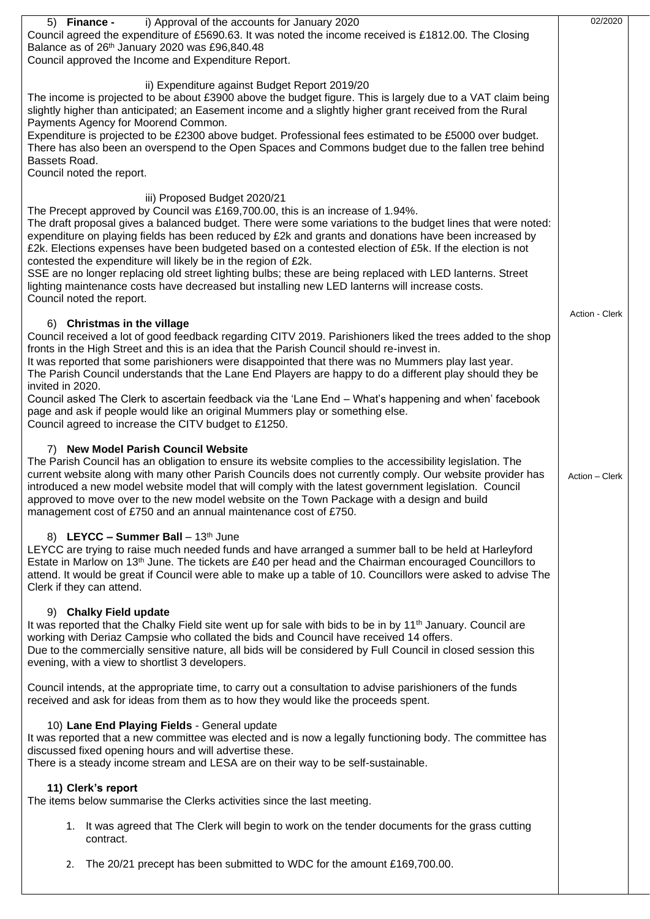| i) Approval of the accounts for January 2020<br>5) Finance -<br>Council agreed the expenditure of £5690.63. It was noted the income received is £1812.00. The Closing<br>Balance as of 26th January 2020 was £96,840.48<br>Council approved the Income and Expenditure Report.                                                                                                                                                                                                                                                                                                                                                                                                                                                                                  | 02/2020        |  |  |  |
|-----------------------------------------------------------------------------------------------------------------------------------------------------------------------------------------------------------------------------------------------------------------------------------------------------------------------------------------------------------------------------------------------------------------------------------------------------------------------------------------------------------------------------------------------------------------------------------------------------------------------------------------------------------------------------------------------------------------------------------------------------------------|----------------|--|--|--|
| ii) Expenditure against Budget Report 2019/20<br>The income is projected to be about £3900 above the budget figure. This is largely due to a VAT claim being<br>slightly higher than anticipated; an Easement income and a slightly higher grant received from the Rural<br>Payments Agency for Moorend Common.<br>Expenditure is projected to be £2300 above budget. Professional fees estimated to be £5000 over budget.<br>There has also been an overspend to the Open Spaces and Commons budget due to the fallen tree behind<br>Bassets Road.<br>Council noted the report.                                                                                                                                                                                |                |  |  |  |
| iii) Proposed Budget 2020/21<br>The Precept approved by Council was £169,700.00, this is an increase of 1.94%.<br>The draft proposal gives a balanced budget. There were some variations to the budget lines that were noted:<br>expenditure on playing fields has been reduced by £2k and grants and donations have been increased by<br>£2k. Elections expenses have been budgeted based on a contested election of £5k. If the election is not<br>contested the expenditure will likely be in the region of £2k.<br>SSE are no longer replacing old street lighting bulbs; these are being replaced with LED lanterns. Street<br>lighting maintenance costs have decreased but installing new LED lanterns will increase costs.<br>Council noted the report. |                |  |  |  |
| 6) Christmas in the village<br>Council received a lot of good feedback regarding CITV 2019. Parishioners liked the trees added to the shop<br>fronts in the High Street and this is an idea that the Parish Council should re-invest in.<br>It was reported that some parishioners were disappointed that there was no Mummers play last year.<br>The Parish Council understands that the Lane End Players are happy to do a different play should they be<br>invited in 2020.<br>Council asked The Clerk to ascertain feedback via the 'Lane End - What's happening and when' facebook<br>page and ask if people would like an original Mummers play or something else.<br>Council agreed to increase the CITV budget to £1250.                                | Action - Clerk |  |  |  |
| 7) New Model Parish Council Website<br>The Parish Council has an obligation to ensure its website complies to the accessibility legislation. The<br>current website along with many other Parish Councils does not currently comply. Our website provider has<br>introduced a new model website model that will comply with the latest government legislation. Council<br>approved to move over to the new model website on the Town Package with a design and build<br>management cost of £750 and an annual maintenance cost of £750.                                                                                                                                                                                                                         |                |  |  |  |
| 8) LEYCC - Summer Ball - 13th June<br>LEYCC are trying to raise much needed funds and have arranged a summer ball to be held at Harleyford<br>Estate in Marlow on 13 <sup>th</sup> June. The tickets are £40 per head and the Chairman encouraged Councillors to<br>attend. It would be great if Council were able to make up a table of 10. Councillors were asked to advise The<br>Clerk if they can attend.                                                                                                                                                                                                                                                                                                                                                  |                |  |  |  |
| 9) Chalky Field update<br>It was reported that the Chalky Field site went up for sale with bids to be in by 11 <sup>th</sup> January. Council are<br>working with Deriaz Campsie who collated the bids and Council have received 14 offers.<br>Due to the commercially sensitive nature, all bids will be considered by Full Council in closed session this<br>evening, with a view to shortlist 3 developers.                                                                                                                                                                                                                                                                                                                                                  |                |  |  |  |
| Council intends, at the appropriate time, to carry out a consultation to advise parishioners of the funds<br>received and ask for ideas from them as to how they would like the proceeds spent.                                                                                                                                                                                                                                                                                                                                                                                                                                                                                                                                                                 |                |  |  |  |
| 10) Lane End Playing Fields - General update<br>It was reported that a new committee was elected and is now a legally functioning body. The committee has<br>discussed fixed opening hours and will advertise these.<br>There is a steady income stream and LESA are on their way to be self-sustainable.                                                                                                                                                                                                                                                                                                                                                                                                                                                       |                |  |  |  |
| 11) Clerk's report<br>The items below summarise the Clerks activities since the last meeting.                                                                                                                                                                                                                                                                                                                                                                                                                                                                                                                                                                                                                                                                   |                |  |  |  |
| 1. It was agreed that The Clerk will begin to work on the tender documents for the grass cutting<br>contract.                                                                                                                                                                                                                                                                                                                                                                                                                                                                                                                                                                                                                                                   |                |  |  |  |
| The 20/21 precept has been submitted to WDC for the amount £169,700.00.<br>2.                                                                                                                                                                                                                                                                                                                                                                                                                                                                                                                                                                                                                                                                                   |                |  |  |  |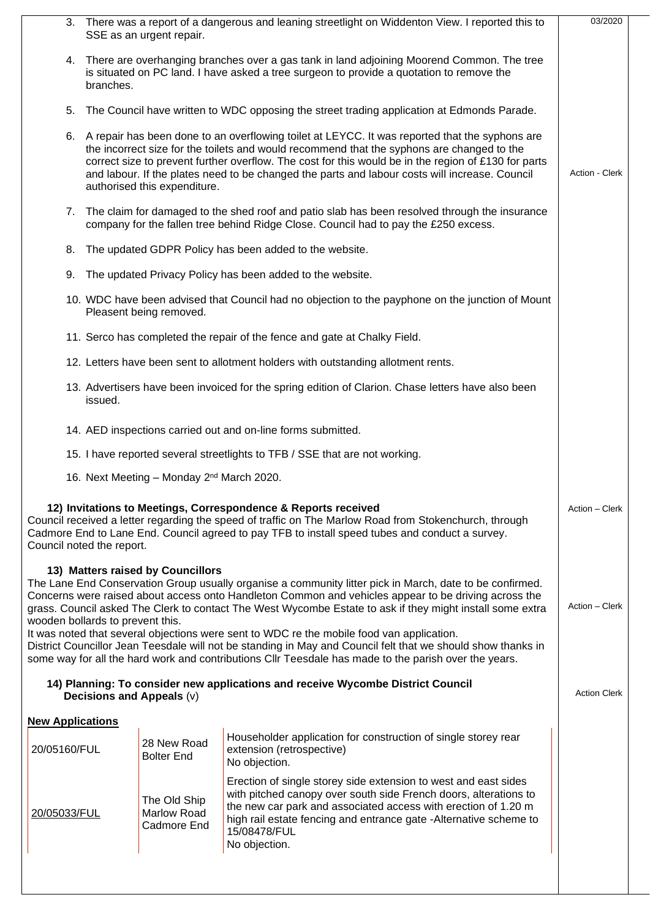| 3. There was a report of a dangerous and leaning streetlight on Widdenton View. I reported this to<br>SSE as an urgent repair.                                                                                                                                                                           |                                                                                                                                                                                                                                                                                                                                                                                                                                           |                                                                                                                                                                                                                                                                                                                                                                                                                                                                                                                                                                                                                                                     |                     |  |  |  |
|----------------------------------------------------------------------------------------------------------------------------------------------------------------------------------------------------------------------------------------------------------------------------------------------------------|-------------------------------------------------------------------------------------------------------------------------------------------------------------------------------------------------------------------------------------------------------------------------------------------------------------------------------------------------------------------------------------------------------------------------------------------|-----------------------------------------------------------------------------------------------------------------------------------------------------------------------------------------------------------------------------------------------------------------------------------------------------------------------------------------------------------------------------------------------------------------------------------------------------------------------------------------------------------------------------------------------------------------------------------------------------------------------------------------------------|---------------------|--|--|--|
|                                                                                                                                                                                                                                                                                                          | 4. There are overhanging branches over a gas tank in land adjoining Moorend Common. The tree<br>is situated on PC land. I have asked a tree surgeon to provide a quotation to remove the<br>branches.                                                                                                                                                                                                                                     |                                                                                                                                                                                                                                                                                                                                                                                                                                                                                                                                                                                                                                                     |                     |  |  |  |
|                                                                                                                                                                                                                                                                                                          | 5. The Council have written to WDC opposing the street trading application at Edmonds Parade.                                                                                                                                                                                                                                                                                                                                             |                                                                                                                                                                                                                                                                                                                                                                                                                                                                                                                                                                                                                                                     |                     |  |  |  |
|                                                                                                                                                                                                                                                                                                          | 6. A repair has been done to an overflowing toilet at LEYCC. It was reported that the syphons are<br>the incorrect size for the toilets and would recommend that the syphons are changed to the<br>correct size to prevent further overflow. The cost for this would be in the region of £130 for parts<br>and labour. If the plates need to be changed the parts and labour costs will increase. Council<br>authorised this expenditure. |                                                                                                                                                                                                                                                                                                                                                                                                                                                                                                                                                                                                                                                     |                     |  |  |  |
|                                                                                                                                                                                                                                                                                                          | 7. The claim for damaged to the shed roof and patio slab has been resolved through the insurance<br>company for the fallen tree behind Ridge Close. Council had to pay the £250 excess.                                                                                                                                                                                                                                                   |                                                                                                                                                                                                                                                                                                                                                                                                                                                                                                                                                                                                                                                     |                     |  |  |  |
| 8.                                                                                                                                                                                                                                                                                                       | The updated GDPR Policy has been added to the website.                                                                                                                                                                                                                                                                                                                                                                                    |                                                                                                                                                                                                                                                                                                                                                                                                                                                                                                                                                                                                                                                     |                     |  |  |  |
| 9.                                                                                                                                                                                                                                                                                                       |                                                                                                                                                                                                                                                                                                                                                                                                                                           | The updated Privacy Policy has been added to the website.                                                                                                                                                                                                                                                                                                                                                                                                                                                                                                                                                                                           |                     |  |  |  |
| 10. WDC have been advised that Council had no objection to the payphone on the junction of Mount<br>Pleasent being removed.                                                                                                                                                                              |                                                                                                                                                                                                                                                                                                                                                                                                                                           |                                                                                                                                                                                                                                                                                                                                                                                                                                                                                                                                                                                                                                                     |                     |  |  |  |
|                                                                                                                                                                                                                                                                                                          |                                                                                                                                                                                                                                                                                                                                                                                                                                           | 11. Serco has completed the repair of the fence and gate at Chalky Field.                                                                                                                                                                                                                                                                                                                                                                                                                                                                                                                                                                           |                     |  |  |  |
| 12. Letters have been sent to allotment holders with outstanding allotment rents.                                                                                                                                                                                                                        |                                                                                                                                                                                                                                                                                                                                                                                                                                           |                                                                                                                                                                                                                                                                                                                                                                                                                                                                                                                                                                                                                                                     |                     |  |  |  |
| 13. Advertisers have been invoiced for the spring edition of Clarion. Chase letters have also been<br>issued.                                                                                                                                                                                            |                                                                                                                                                                                                                                                                                                                                                                                                                                           |                                                                                                                                                                                                                                                                                                                                                                                                                                                                                                                                                                                                                                                     |                     |  |  |  |
| 14. AED inspections carried out and on-line forms submitted.                                                                                                                                                                                                                                             |                                                                                                                                                                                                                                                                                                                                                                                                                                           |                                                                                                                                                                                                                                                                                                                                                                                                                                                                                                                                                                                                                                                     |                     |  |  |  |
|                                                                                                                                                                                                                                                                                                          |                                                                                                                                                                                                                                                                                                                                                                                                                                           | 15. I have reported several streetlights to TFB / SSE that are not working.                                                                                                                                                                                                                                                                                                                                                                                                                                                                                                                                                                         |                     |  |  |  |
|                                                                                                                                                                                                                                                                                                          | 16. Next Meeting - Monday 2 <sup>nd</sup> March 2020.                                                                                                                                                                                                                                                                                                                                                                                     |                                                                                                                                                                                                                                                                                                                                                                                                                                                                                                                                                                                                                                                     |                     |  |  |  |
| 12) Invitations to Meetings, Correspondence & Reports received<br>Council received a letter regarding the speed of traffic on The Marlow Road from Stokenchurch, through<br>Cadmore End to Lane End. Council agreed to pay TFB to install speed tubes and conduct a survey.<br>Council noted the report. |                                                                                                                                                                                                                                                                                                                                                                                                                                           |                                                                                                                                                                                                                                                                                                                                                                                                                                                                                                                                                                                                                                                     |                     |  |  |  |
|                                                                                                                                                                                                                                                                                                          | 13) Matters raised by Councillors<br>wooden bollards to prevent this.                                                                                                                                                                                                                                                                                                                                                                     | The Lane End Conservation Group usually organise a community litter pick in March, date to be confirmed.<br>Concerns were raised about access onto Handleton Common and vehicles appear to be driving across the<br>grass. Council asked The Clerk to contact The West Wycombe Estate to ask if they might install some extra<br>It was noted that several objections were sent to WDC re the mobile food van application.<br>District Councillor Jean Teesdale will not be standing in May and Council felt that we should show thanks in<br>some way for all the hard work and contributions CIIr Teesdale has made to the parish over the years. | Action - Clerk      |  |  |  |
|                                                                                                                                                                                                                                                                                                          | Decisions and Appeals (v)                                                                                                                                                                                                                                                                                                                                                                                                                 | 14) Planning: To consider new applications and receive Wycombe District Council                                                                                                                                                                                                                                                                                                                                                                                                                                                                                                                                                                     | <b>Action Clerk</b> |  |  |  |
| <b>New Applications</b>                                                                                                                                                                                                                                                                                  |                                                                                                                                                                                                                                                                                                                                                                                                                                           |                                                                                                                                                                                                                                                                                                                                                                                                                                                                                                                                                                                                                                                     |                     |  |  |  |
| 20/05160/FUL                                                                                                                                                                                                                                                                                             | 28 New Road<br><b>Bolter End</b>                                                                                                                                                                                                                                                                                                                                                                                                          | Householder application for construction of single storey rear<br>extension (retrospective)<br>No objection.                                                                                                                                                                                                                                                                                                                                                                                                                                                                                                                                        |                     |  |  |  |
| 20/05033/FUL                                                                                                                                                                                                                                                                                             | The Old Ship<br>Marlow Road<br>Cadmore End                                                                                                                                                                                                                                                                                                                                                                                                | Erection of single storey side extension to west and east sides<br>with pitched canopy over south side French doors, alterations to<br>the new car park and associated access with erection of 1.20 m<br>high rail estate fencing and entrance gate - Alternative scheme to<br>15/08478/FUL<br>No objection.                                                                                                                                                                                                                                                                                                                                        |                     |  |  |  |
|                                                                                                                                                                                                                                                                                                          |                                                                                                                                                                                                                                                                                                                                                                                                                                           |                                                                                                                                                                                                                                                                                                                                                                                                                                                                                                                                                                                                                                                     |                     |  |  |  |